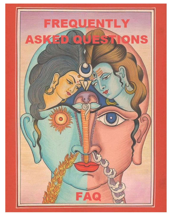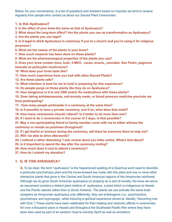Below, for your convenience, is a list of questions and answers based on inquiries we tend to receive regularly from people who contact us about our Sacred Plant Ceremonies.

- **1. Is this Ayahuasca?**
- **2. Is the effect of your brew the same as that of Ayahuasca?**
- **3. What about the long-term effect? Are the plants you use as transformative as Ayahuasca?**
- **4. Are the plants you use legal?**

5. Is it legal to drink Ayahuasca in ceremony if you're a church and you're using it for religious **purposes?**

- **6. What are the names of the plants in your brew?**
- **7. How much research has been done on these plants?**
- **8. What are the pharmacological properties of the plants you use?**

**9. Does your brew contain kava, bufo, 5-MEO, cacao, acacia,, cannabis, San Pedro, peganum harmala oe psilocybin mushrooms?**

- **10. What does your brew taste like?**
- **11. How much experience have you had with other Sacred Plants?**
- **12. Are these plants safe?**
- **13. What intention is best for me to hold in preparing for this experience?**
- **14. Do people purge on these plants like they do on Ayahuasca?**
- **15. How dangerous is it to mix CBD and/or Rx medications with these plants?**

**16. Does taking antidepressants, anti-anxiety meds, or blood pressure medicine preclude me from participating?**

- **17. How many people participate in a ceremony at the same time?**
- **18. Is it possible to have a private ceremony, and if so, what does that entail?**
- **19. How many ceremonies should I attend? Is it better to do more than one?**
- **20. If I want to do 3 ceremonies in the course of 3 days, is that possible?**
- **21. May a non-participating friend or family member come with me to either witness the ceremony or remain on premises throughout?**

**22. If I get fearful or anxious during the ceremony, will there be someone there to help me?**

- **23. Will I be able to drive afterwards?**
- **24. I noticed a rather disturbing 1-star review about you folks online. What's that about?**
- **25. Is it important to spend the day after the ceremony resting?**
- **26. How much does it cost to attend a ceremony?**
- **27. How do I submit my donation?**

# **1. Q. IS THIS AYAHUASCA?**

**A.** To be clear, the term "ayahuasca" is the hispanicized spelling of a Quechua word used to describe a particular psychotropic plant and the home-brewed tea made with this plant and one or more other interactive plants that grow in the Central and South American regions of the Amazonian rainforest. Although we do grow South American ayahuasca on property as a sort of novelty, the brew we serve as sacrament contains a distant plant relative of ayahuasca, a plant which is indigenous to Hawaii and the Pacific islands rather than to South America. The plants we use activate the same brain receptors as Amazonian ayahuasca only differently; they are entheogenic (i.e., psychoactive, psychotropic and hypnogogic, while inducing a spiritual experience aimed at, literally, "becoming one with God.") These plants have been celebrated for their healing and visionary effects in ceremonies for over a thousand years in Hawaii and throughout the Southwest Pacific Rim where they have been also used as part of an esoteric ritual to worship Spirit as well as ancestors.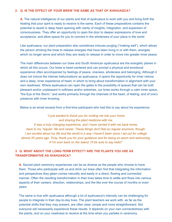#### **2. Q. IS THE EFFECT OF YOUR BREW THE SAME AS THAT OF AYAHUASCA?**

**A.** The natural intelligence of our plants and that of ayahuasca to work with you and bring forth the healing that your spirit is ready to receive is the same. Each of these preparations contains the potential to assist in deep heart opening with clarity of insights, integration, and expansion of consciousness. They offer an opportunity to open the door to deeper expressions of love and acceptance, and allow space for you to connect in the wholeness of your place in the world.

Like ayahuasca, our plant preparation also sometimes induces purging ("making well"), which allows the person drinking the brew to release energies that have been living in or with them, energies which no longer serve and which they are ready to release in order to move into greater inner peace.

The main differences between our brew and South American ayahuasca are the energetic planes in which all this occurs. Our brew is heart-centered and can prompt a physical and emotional experience often accompanied by feelings of peace, oneness, wholeness and belonging. Although it does not induce the intense hallucinations as ayahuasca, it opens the opportunity for inner visions and a deep, inner experience of heart, in which to bring about transformation in alignment with your own readiness. Where ayahuasca can open the gates to the possibility of spaces that can be both pleasant and/or unpleasant in softness and/or extremes, our brew works through a calm inner space, "the Eye of the Storm," and works primarily through the channels of the heart, of feeling, and of one's presence with inner knowing.

Below is an email excerpt from a first-time participant who had this to say about his experience:

*"I just wanted to thank you for inviting me into your home and sharing the plant medicine with me. It was a truly changing experience, and I have carried it with me back home, back to my 'regular' life and career. These things don't feel so regular anymore, though.* I am excited about my life and the world in a way I haven't been since I set out for college *almost 20 years ago. Truly, thank you for your guidance and for being so warm and welcoming. If I'm ever back on the island, I'll be sure to say hello!"*

# **3. Q. WHAT ABOUT THE LONG-TERM EFFECT? ARE THE PLANTS YOU USE AS TRANSFORMATIVE AS AYAHUASCA?**

**A.** Sacred plant ceremony experiences can be as diverse as the people who choose to have them. Those who participate with us and drink our brew often find that integrating the information and perspectives they gleen comes naturally and easily in a direct, flowing and connected manner. Often the resulting transformation in their lives takes time to settle and flows into various aspects of their careers, direction, relationships, and the like over the course of months or even years.

The same is true with ayahuasca although a lot of ayahuasca's intensity can be challenging for people to integrate in their day-to-day lives. The plant teachers we work with, as far as the potential shifts that they may present, are often clear, simple and more straightforward. Not everyone will necessarily experience these results. It depends on your own connectedness with the plants, and on your readiness to receive at the time when you partake in ceremony.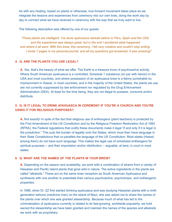As with any healing, based on plants or otherwise, true forward movement takes place as we integrate the lessons and experiences from ceremony into our own lives, doing the work day by day to connect what we have received in ceremony with the way that we truly want to live.

The following description was offered by one of our guests:

*"These plants are intelligent. I've done ayahuasca retreats before in Peru, Spain and the USA, and the experience was always great, but in the end I wondered what happened* and where it all went. With this brew, this ceremony, I felt very creative and couldn't stop writing. *I wrote 7 pages in my personal journal, and all my questions got answered. It was amazing!"*

## **4. Q. ARE THE PLANTS YOU USE LEGAL?**

**A.** Yes, that's the beauty of what we offer. The Earth is a treasure trove of psychoactive activity. Where South American ayahuasca is a controlled, Schedule 1 substance (on par with heroin) in the USA and most countries, and where possession of an ayahuasca brew is a felony punishable by imprisonment in Hawaii, in most countries, and in the majority of the United States, the plants we use are not currently suppressed by law enforcement nor regulated by the Drug Enforcement Administration (DEA). At least for the time being, they are not illegal to possess, consume and/or distribute.

# **5. Q. IS IT LEGAL TO DRINK AYAHUASCA IN CEREMONY IF YOU'RE A CHURCH AND YOU'RE USING IT FOR RELIGIOUS PURPOSES?**

**A.** Not exactly! In spite of the fact that religious use of entheogens (plant teachers) is protected by the First Amendment of the US Constitution and by the Religious Freedom Restoration Act of 1993 (RFRA), the Federal regulations that codify these documents make it legal "if and only if it is legal in the jurisdiction." This puts the burden of legality onto the States, which must then have language in their State Constitutions that co-parallels the language of the US Constitution. Most states (Hawaii among them) do not have such language. This makes the legal use of scheduled entheogens for spiritual purposes -- and their importation and/or distribution -- arguable, at best, in court in most states.

#### **6. Q. WHAT ARE THE NAMES OF THE PLANTS IN YOUR BREW?**

**A.** Depending on the season and availability, we work with a combination of strains from a variety of Hawaiian and Pacific island plants that grow wild in nature. The active ingredients in the plants are called "alkaloids." These act on the same brain receptors as South American Ayahuasca and synthesize with one another to potentiate their various psychoactive, psychotropic, and entheogenic properties.

In 1998, when Dr. ZZ first started drinking ayahuasca and was studying Hawaiian plants with a ninth generation kahuna (medicine man) on the island of Maui, she was asked not to share the names of the plants over which she was granted stewardship. Because much of what has led to the criminalization of ayahuasca currently is related to its fast-growing, worldwide popularity, we hold sacred the stewardship we have been granted and maintain the names of the species and alkaloids we work with as proprietary.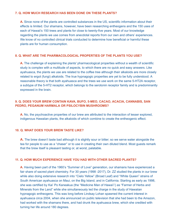#### **7. Q. HOW MUCH RESEARCH HAS BEEN DONE ON THESE PLANTS?**

**A.** Since none of the plants are controlled substances in the US, scientific information about their effects is limited. Our shamans, however, have been researching entheogens and the 150 uses of each of Hawaii's 150 trees and plants for close to twenty-five years. Most of our knowledge regarding the plants we use comes from anecdotal reports from our own and others' experiences. We know of no controlled clinical trials conducted to determine how beneficial or harmful these plants are for human consumption.

#### **8. Q. WHAT ARE THE PHARMACOLOGICAL PROPERTIES OF THE PLANTS YOU USE?**

**A.** The challenge of explaining the plants' pharmacological properties without a wealth of scientific study is complex with a multitude of aspects, to which there are no quick and easy answers. Like ayahuasca, the plants we use are related to the coffee tree although their alkaloids are more closely related to ergot (fungi) alkaloids. The true hypnagogic properties are yet to be fully understood. A reasonable theory is that both ayahuasca and the trees we use work on the same 5-HT2A receptor, a subtype of the 5-HT2 receptor, which belongs to the serotonin receptor family and is predominantly expressed in the brain.

# **9. Q. DOES YOUR BREW CONTAIN KAVA, BUFO, 5-MEO, CACAO, ACACIA, CANNABIS, SAN PEDRO, PEGANUM HARMALA OR PSILOCYBIN MUSHROOMS?**

**A.** No, the psychoactive properties of our brew are attributed to the interaction of lesser explored, indigenous Hawaiian plants, the alkaloids of which combine to create the entheogenic effect.

#### **10. Q. WHAT DOES YOUR BREW TASTE LIKE?**

**A.** The brew doesn't taste bad although it is slightly sour or bitter; so we serve water alongside the tea for people to use as a "chaser" or to use in creating their own diluted blend. Most guests remark that the brew itself is pleasant tasting or, at worst, palatable.

#### **11. Q. HOW MUCH EXPERIENCE HAVE YOU HAD WITH OTHER SACRED PLANTS?**

**A.** Having been part of the 1960's "Summer of Love" generation, our shamans have experienced a fair share of sacred plant chemistry. For 30 years (1998 -2017), Dr. ZZ studied the plants in our brew while also doing extensive research into "Cielo Yellow" (Broad Leaf) and "White Queen" strains of South American ayahuasca on Maui, on the Big Island, and in California. Starting as early as 1998, she was certified by Kai' Po Kaneakua (the "Medicine Man of Hawai'i') as "Farmer of Herbs and Minerals from the Land" while she simultaneously led the charge in the study of Hawaiian hypnagogic entheogens. This was long before Lindsay Lohan spawned the current interest in ayahuasca circa 2004, when she announced on public television that she had been to the Amazon, had worked with the shamans there, and had drunk the ayahuasca brew, which she credited with turning her life around 180 degrees.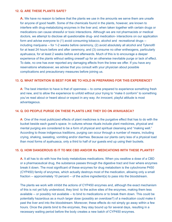#### **12. Q. ARE THESE PLANTS SAFE?**

**A.** We have no reason to believe that the plants we use in the amounts we serve them are unsafe for anyone of good health. Some of the chemicals found in the plants, however, are known to interfere with drug-metabolizing enzymes in the liver and, when taken together with certain drugs or medications can cause stressful or toxic interactions. Although we are not pharmacists or medical doctors, we attempt to disclose all questionable drug- and medication- interactions on our application form and advise everyone to (1) avoid consuming tobacco, alcohol and recreational drugs - including marijuana -- for 1-2 weeks before ceremony, (2) avoid absolutely all alcohol and Tylenol® for at least 24 hours before and after ceremony, and (3) consume no other entheogens, particularly ayahuasca, for at least 2 weeks before and afterwards. Much of this is to encourage a deeper experience of the plants without setting oneself up for an otherwise inevitable purge or lack of effect. To date, no one has ever reported any damaging effects from the brew we offer. If you have any reservations whatsoever, we advise that you consult with your physician about possible complications and precautionary measures before joining us.

#### **13. Q. WHAT INTENTION IS BEST FOR ME TO HOLD IN PREPARING FOR THIS EXPERIENCE?**

**A**: The best intention to have is that of openness -- to come prepared to experience something fresh and new, and to allow the experience to unfold without your trying to "make it conform" to something you've read about or heard about or expect in any way. An innocent, playful attitude is most advantageous.

## **14. Q. DO PEOPLE PURGE ON THESE PLANTS LIKE THEY DO ON AYAHUASCA?**

**A**: One of the most publicized effects of plant medicines is the purgative effect that has to do with the bucket beside each guest's space. In cultures whose rituals include plant medicines, physical and mental purging are considered to be a form of physical and spiritual cleansing and "making well." According to those indigenous traditions, purging can occur through a number of means, including crying, shaking, sweating, vomiting and/or diarrhea. Because our plants carry less of a physical load than most forms of ayahuasca, only a third to half of our guests end up using their buckets.

#### **15. Q. HOW DANGEROUS IS IT TO MIX CBD AND/OR Rx MEDICATIONS WITH THESE PLANTS?**

**A.** It all has to do with how the body metabolizes medications. When you swallow a dose of a CBD or a pharmaceutical drug, the substance passes through the digestive tract and liver where enzymes break it down. The most significant of these enzymes for drug metabolism is the cytochrome P450 (CYP450) family of enzymes, which actually destroys most of the medication, allowing only a small fraction -- approximately 10 percent -- of the active ingredient(s) to pass into the bloodstream.

The plants we work with inhibit the actions of CYP450 enzymes and, although the exact mechanism of this is not yet fully understood, they bind to the active sites of the enzymes, making them less available -- or possibly not available -- to bind to medications or to break them down. This could be potentially hazardous as a much larger dose (possibly an overdose?) of a medication could make it past the liver and into the bloodstream. Moreover, these effects do not simply go away within a few hours. Once the plants bind to the enzymes, they stay bound up for several days, resulting in a necessary waiting period before the body creates a new batch of CYP450 enzymes.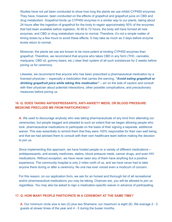Studies have not yet been conducted to show how long the plants we use inhibit CYP450 enzymes. They have, however, been conducted on the effects of grapefruit and grapefruit juice on CBD and drug metabolism. Grapefruit binds up CYP450 enzymes in a similar way to our plants, taking about 24 hours after the ingestion of grapefruit for the body to regain approximately 50% of the enzymes that had been available before ingestion. At 48 to 72 hours, the body will have formed all new enzymes, and CBD or drug metabolism returns to normal. Therefore, it's not a simple matter of timing doses by a few hours to avoid these effects. It may take as much as 3 days before enzyme levels return to normal.

Moreover, the plants we use are known to be more potent at binding CYP450 enzymes than grapefruit. Therefore, we recommend that anyone who takes CBD in any form (THC, cannabis, marijuana, CBD oil, gummy bears, etc.) clear their system of all such substances for 2 weeks before joining us for ceremony.

Likewise, we recommend that anyone who has been prescribed a pharmaceutical medication by a licensed physician -- especially a medication that carries the warning, *"Avoid eating grapefruit or drinking grapefruit juice while taking this medication" --* err on the side of caution and consult with their physician about potential interactions, other possible complications, and precautionary measures before joining us.

# **16. Q. DOES TAKING ANTIDEPRESSANTS, ANTi-ANXIETY MEDS, OR BLOOD PRESSURE MEDICINE PRECLUDE ME FROM PARTICIPATING?**

**A.** We used to discourage anybody who was taking pharmaceuticals of any kind from attending our ceremonies, but people begged and pleaded to such an extent that we began allowing people who took pharmaceutical medications to participate on the basis of their signing a separate, additional waiver. This was essentially to remind them that they were 100% responsible for their own well being, and that we had advised them to consult with their own healthcare team before making the decision to join us.

Since implementing this approach, we have hosted people on a variety of different medications - antidepressants, anti-anxiety medicines, statins, blood pressure meds, cancer drugs, and even HIV medications. Without exception, we have never seen any of them have anything but a positive experience. The community hospital is only 2 miles north of us, and we have never had to take anyone there during or after a ceremony. No one has ever voiced even a modicum of concern.

For this reason, on our application form, we ask for an honest and thorough list of all recreational and/or pharmaceutical medications you may be taking. Chances are, you will be allowed to join us regardless. You may also be asked to sign a medication-specific waiver in advance of participating.

#### **17. Q. HOW MANY PEOPLE PARTICIPATE IN A CEREMONY AT THE SAME TIME?**

**A.** Our minimum circle size is two (2) plus two Shamans; our maximum is eight (8). We average 2 - 3 guests at slower times of the year and 4 - 5 during the busier months.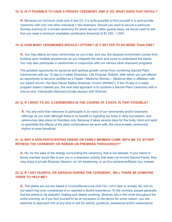#### **18. Q. IS IT POSSIBLE TO HAVE A PRIVATE CEREMONY, AND IF SO, WHAT DOES THAT ENTAIL?**

**A.** Because our minimum circle size is two (2), it is quite possible to find yourself in a semi-private ceremony with only one other individual + two shamans. Should you want to secure a particular Sunday evening for a private ceremony for which we turn other guests away, we would need to ask that you meet a minimum charitable contribution threshold of \$1,250 - 1,500.

#### **19. Q. HOW MANY CEREMONIES SHOULD I ATTEND? IS IT BETTER TO DO MORE THAN ONE?**

**A.** You may attend as many ceremonies as you'd like, and yes, the deepest involvement comes from building upon multiple experiences as you integrate the work and come to understand the plants. You may also participate in ceremonies in conjunction with our various other shamanic programs

The greatest opportunity for personal and spiritual growth comes from combining Sacred Plant Ceremonies with our 10-day to 2-week Shamanic 'Life Purpose' Rebirth, after which you are offered an opportunity to become certified as a Healer / Medicine Woman / Medicine Man in affiliation with our parent church, the New Haven Native American Church (NHNAC). If the 10-day to 2-week program doesn't interest you, the next best approach is to combine a Sacred Plant Ceremony with a one-on-one, individually-delivered private session with Shaman.

# **20. Q. IF I WANT TO DO 3 CEREMONIES IN THE COURSE OF 3 DAYS. IS THAT POSSIBLE?**

**A.** You are more than welcome to participate in as many of our ceremonies and/or shamanic offerings as you wish although there is no benefit to ingesting our brew in daily succession, and ceremonies take place on Sundays only. Because it takes several days for the body, mind and spirit to assimilate the effects of the plant combinations we work with, the once-a-week ceremonial rhythm is most beneficial.

# **21. Q. MAY A NON-PARTICIPATING FRIEND OR FAMILY MEMBER COME WITH ME TO EITHER WITNESS THE CEREMONY OR REMAIN ON PREMISES THROUGHOUT?**

**A.** No, for the sake of the energy surrounding the ceremony, that is not allowed. If your friend or family member would like to join you in a shamanic activity that does not involve Sacred Plants, they may enjoy a private Shamaic Session, an Art Awakening, or an Eco-adventure/Mystic tour instead.

# **22. Q. IF I GET FEARFUL OR ANXIOUS DURING THE CEREMONY, WILL THERE BE SOMEONE THERE TO HELP ME?**

**A.** The plants we use are based in Unconditional Love (432 Hz), not in fear or anxiety. No one on our watch has ever complained of or reported a fearful experience. To the contrary, people generally find the plants to be peaceful, healing and deeply soothing. Shaman sits in the circle throughout the entire evening; so if you find yourself to be an exception to the above for some reason, you are welcome to approach him at any time to ask for advice, guidance, assistance and/or reassurance.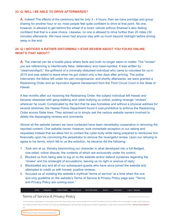#### **23. Q. WILL I BE ABLE TO DRIVE AFTERWARDS?**

**A.** Indeed! The effects of the ceremony last for only 3 - 4 hours; then we have porridge and group sharing for another hour or so; most people feel quite confident to drive at that point. No one, however, is allowed to get behind the wheel of a motor vehicle without Shaman's also feeling confident that that is a wise choice. Likewise, no one is allowed to drive further than 20 miles (30 minutes) afterwards. We have never had anyone stay with us much beyond midnight before driving away in the end.

# **24. Q. I NOTICED A RATHER DISTURBING 1-STAR REVIEW ABOUT YOU FOLKS ONLINE. WHAT'S THAT ABOUT?**

**A.** The internet can be a hostile place where facts and truth no longer seem to matter. The "review" you are referencing is intentionally false, defamatory and mean-spirited. It was written by "clearriverofsprit," the girlfriend of a criminally-disturbed individual who came to volunteer for us in 2015 and was asked to leave when he got violent only a few days after arriving. The police intervened, the fellow left under his own recognizance, and shortly afterwards, we were granted a Restraining Order and an Injunction Against Harassment from the Third Circuit Court in the State of Hawaii.

A few months after our receiving the Restraining Order, the subject individual left Hawaii and became obsessed with gang-stalking and cyber-bullying us online, posting revenge "reviews" wherever he could. Complicated by the fact that he was homeless and without a physical address for several stretches, the Hawaii Police Department found it cost-prohibitive to enforce the Restraining Order across State lines. They advised us to simply ask the various website owners involved to delete the disparaging reviews and comments.

Almost all the website owners we have contacted have been remarkably cooperative in removing the reported content. One website owner, however, took immediate exception to our asking and requested instead that we allow him to contact the cyber-bully while being prepared to reimburse him financially upon his convincing the perpetrator to remove the revengeful review. Upon our refusing to agree to his terms, which felt to us like extortion, he became did the following:

- 1. Took aim at us, thereby besmirching our character in what developed into a full-fledged, one-sided, online dispute, the contents of which are exclusively under his control;
- 2. Blocked us from being able to log on to the website and/or defend ourselves regarding the "review" and his onslaught of accusations, leaving us no right or avenue of reply;
- 3. Blackballed any and all of our subsequent guests who have since joined the website and attempted to credit us with honest, positive reviews;
- 4. Accused us of violating the website's mythical "terms of service" at a time when the one and only guideline on the website's Terms of Service & Privacy Policy page was: "Terms and Privacy Policy are coming soon."

Home Categories  $\sim$ **Highest Rated** Most Popular Most Affordable v Search  $\sim$ Log In / Register Dashboard v

# **Terms of Service & Privacy Policy**

Terms of Service & Privacy Policy

Unfortunately, legal jargon is necessary and even required by law in some parts of the world. So please just know that we're not trying to sneak anything by you (we made the font nice and BIG). So if you see anything that rubs you the wrong way or seems suspicious, by all means, please feel free to let us know about it  $\frac{0.17}{0.12}$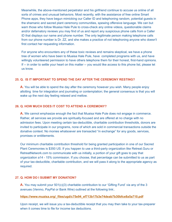Meanwhile, the above-mentioned perpetrator and his girlfriend continue to accuse us online of all sorts of crimes and unusual behaviors. Most recently, with the assistance of free online Smart Phone apps, they have begun mimicking our Caller ID and telephoning random, potential guests in the shamanic and sacred plant ceremony communities, spewing offensive language. We can but warn those who follow Muaisa Hale Pule to cross-check any online videos, questionable claims and/or defamatory reviews you may find of us and report any suspicious phone calls from a Caller ID that displays our name and phone number. The only legitimate person making telephone calls from our phone number is Dr. ZZ, and she makes a practice of not telephoning anyone who doesn't first contact her requesting information.

For anyone who encounters any of these toxic reviews and remains skeptical, we have a phone tree of women who have been to Muaisa Hale Pule, have completed programs with us, and have willingly volunteered permission to have others telephone them for their honest, first-hand opinions. If -- in order to settle your heart on this matter -- you would like access to this phone list, please let us know.

## **25. Q. IS IT IMPORTANT TO SPEND THE DAY AFTER THE CEREMONY RESTING?**

**A.** You will be able to spend the day after the ceremony however you wish. Many people enjoy allotting time for integration and journaling or contemplation; the general consensus is that you will wake up the next day feeling relaxed and mellow.

## **26. Q. HOW MUCH DOES IT COST TO ATTEND A CEREMONY?**

**A.** We cannot emphasize enough the fact that Muaisa Hale Pule does not engage in commerce. Rather, all services we provide are spiritually-focused and are offered at no charge with no admission fees. Upon meeting certain tax-deductible, charitable contribution thresholds, donors are invited to participate in our programs, none of which are sold in commercial transactions outside the donative context. No monies whatsoever are transacted "in exchange" for any goods, services, promises or entitlements.

Our minimum charitable contribution threshold for being granted participation in one of our Sacred Plant Ceremonies is \$350 US. If you happen to use a third-party organization like Retreat.Guru or RetreatNetwork.com to communicate with us initially, a portion of your gift goes to pay that organization a14 - 15% commission. If you choose, that percentage can be submitted to us as part of your tax-deductible, charitable contribution, and we will pass it along to the appropriate agency as required.

#### **27. Q. HOW DO I SUBMIT MY DONATION?**

**A.** You may submit your 501(c)(3) charitable contribution to our 'Gifting Fund' via any of the 3 avenues (Venmo, PayPal or Bank Wire) outlined at the following link:.

#### **[https://www.muaisa.org/\\_files/ugd/c75e94\\_ef713b17b3e74deab7b30bfce8a5a710.pdf](https://www.muaisa.org/_files/ugd/c75e94_ef713b17b3e74deab7b30bfce8a5a710.pdf)**

Upon receipt, we will issue you a tax-deductible receipt that you may then take to your tax-preparer when it comes time to file for income tax deductions.